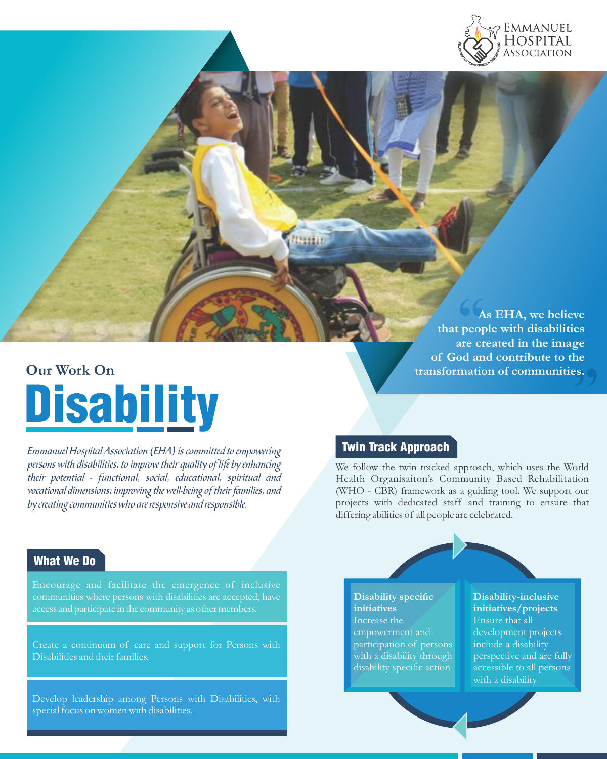

# **Our Work On Disability**

Emmanuel Hospital Association (EHA) is committed to empowering persons with disabilities, to improve their quality of life by enhancing their potential - functional, social, educational, spiritual and vocational dimensions; improving the well-being of their families; and by creating communities who are responsive and responsible.

#### 6 (A<br>peop<br>are cr  $\begin{array}{c}\n\text{he} \\
\text{es.}\n\end{array}$ **As EHA, we believe that people with disabilities are created in the image of God and contribute to the transformation of communities.**

### Twin Track Approach

We follow the twin tracked approach, which uses the World Health Organisaiton's Community Based Rehabilitation (WHO - CBR) framework as a guiding tool. We support our projects with dedicated staff and training to ensure that differing abilities of all people are celebrated.

# What We Do

communities where persons with disabilities are accepted, have

Create a continuum of care and support for Persons with Disabilities and their families.

Develop leadership among Persons with Disabilities, with special focus on women with disabilities.

**Disability specific initiatives**  Increase the empowerment and participation of persons with a disability through disability specific action

**Disability-inclusive initiatives/projects** Ensure that all development projects include a disability perspective and are fully accessible to all persons with a disability